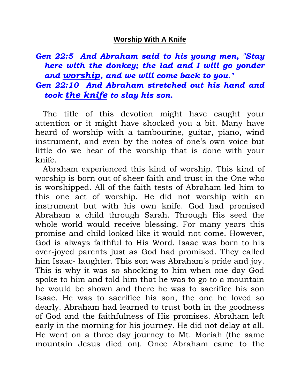## **Worship With A Knife**

## *Gen 22:5 And Abraham said to his young men, "Stay here with the donkey; the lad and I will go yonder and worship, and we will come back to you." Gen 22:10 And Abraham stretched out his hand and took the knife to slay his son.*

 The title of this devotion might have caught your attention or it might have shocked you a bit. Many have heard of worship with a tambourine, guitar, piano, wind instrument, and even by the notes of one's own voice but little do we hear of the worship that is done with your knife.

 Abraham experienced this kind of worship. This kind of worship is born out of sheer faith and trust in the One who is worshipped. All of the faith tests of Abraham led him to this one act of worship. He did not worship with an instrument but with his own knife. God had promised Abraham a child through Sarah. Through His seed the whole world would receive blessing. For many years this promise and child looked like it would not come. However, God is always faithful to His Word. Isaac was born to his over-joyed parents just as God had promised. They called him Isaac- laughter. This son was Abraham's pride and joy. This is why it was so shocking to him when one day God spoke to him and told him that he was to go to a mountain he would be shown and there he was to sacrifice his son Isaac. He was to sacrifice his son, the one he loved so dearly. Abraham had learned to trust both in the goodness of God and the faithfulness of His promises. Abraham left early in the morning for his journey. He did not delay at all. He went on a three day journey to Mt. Moriah (the same mountain Jesus died on). Once Abraham came to the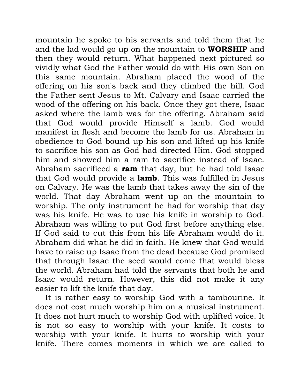mountain he spoke to his servants and told them that he and the lad would go up on the mountain to **WORSHIP** and then they would return. What happened next pictured so vividly what God the Father would do with His own Son on this same mountain. Abraham placed the wood of the offering on his son's back and they climbed the hill. God the Father sent Jesus to Mt. Calvary and Isaac carried the wood of the offering on his back. Once they got there, Isaac asked where the lamb was for the offering. Abraham said that God would provide Himself a lamb. God would manifest in flesh and become the lamb for us. Abraham in obedience to God bound up his son and lifted up his knife to sacrifice his son as God had directed Him. God stopped him and showed him a ram to sacrifice instead of Isaac. Abraham sacrificed a **ram** that day, but he had told Isaac that God would provide a **lamb**. This was fulfilled in Jesus on Calvary. He was the lamb that takes away the sin of the world. That day Abraham went up on the mountain to worship. The only instrument he had for worship that day was his knife. He was to use his knife in worship to God. Abraham was willing to put God first before anything else. If God said to cut this from his life Abraham would do it. Abraham did what he did in faith. He knew that God would have to raise up Isaac from the dead because God promised that through Isaac the seed would come that would bless the world. Abraham had told the servants that both he and Isaac would return. However, this did not make it any easier to lift the knife that day.

 It is rather easy to worship God with a tambourine. It does not cost much worship him on a musical instrument. It does not hurt much to worship God with uplifted voice. It is not so easy to worship with your knife. It costs to worship with your knife. It hurts to worship with your knife. There comes moments in which we are called to